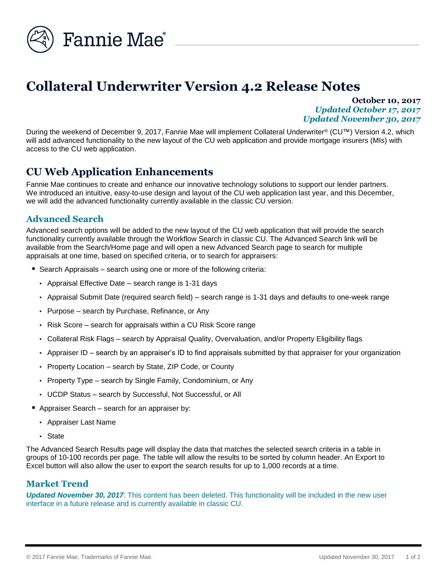

# **Collateral Underwriter Version 4.2 Release Notes**

**October 10, 2017** *Updated October 17, 2017 Updated November 30, 2017*

During the weekend of December 9, 2017, Fannie Mae will implement Collateral Underwriter® (CU™) Version 4.2, which will add advanced functionality to the new layout of the CU web application and provide mortgage insurers (MIs) with access to the CU web application.

# **CU Web Application Enhancements**

Fannie Mae continues to create and enhance our innovative technology solutions to support our lender partners. We introduced an intuitive, easy-to-use design and layout of the CU web application last year, and this December, we will add the advanced functionality currently available in the classic CU version.

#### **Advanced Search**

Advanced search options will be added to the new layout of the CU web application that will provide the search functionality currently available through the Workflow Search in classic CU. The Advanced Search link will be available from the Search/Home page and will open a new Advanced Search page to search for multiple appraisals at one time, based on specified criteria, or to search for appraisers:

- Search Appraisals search using one or more of the following criteria:
	- Appraisal Effective Date search range is 1-31 days
	- Appraisal Submit Date (required search field) search range is 1-31 days and defaults to one-week range
	- Purpose search by Purchase, Refinance, or Any
	- Risk Score search for appraisals within a CU Risk Score range
	- Collateral Risk Flags search by Appraisal Quality, Overvaluation, and/or Property Eligibility flags
	- Appraiser ID search by an appraiser's ID to find appraisals submitted by that appraiser for your organization
	- Property Location search by State, ZIP Code, or County
	- Property Type search by Single Family, Condominium, or Any
	- UCDP Status search by Successful, Not Successful, or All
- Appraiser Search search for an appraiser by:
	- Appraiser Last Name
	- State

The Advanced Search Results page will display the data that matches the selected search criteria in a table in groups of 10-100 records per page. The table will allow the results to be sorted by column header. An Export to Excel button will also allow the user to export the search results for up to 1,000 records at a time.

#### **Market Trend**

*Updated November 30, 2017*: This content has been deleted. This functionality will be included in the new user interface in a future release and is currently available in classic CU.